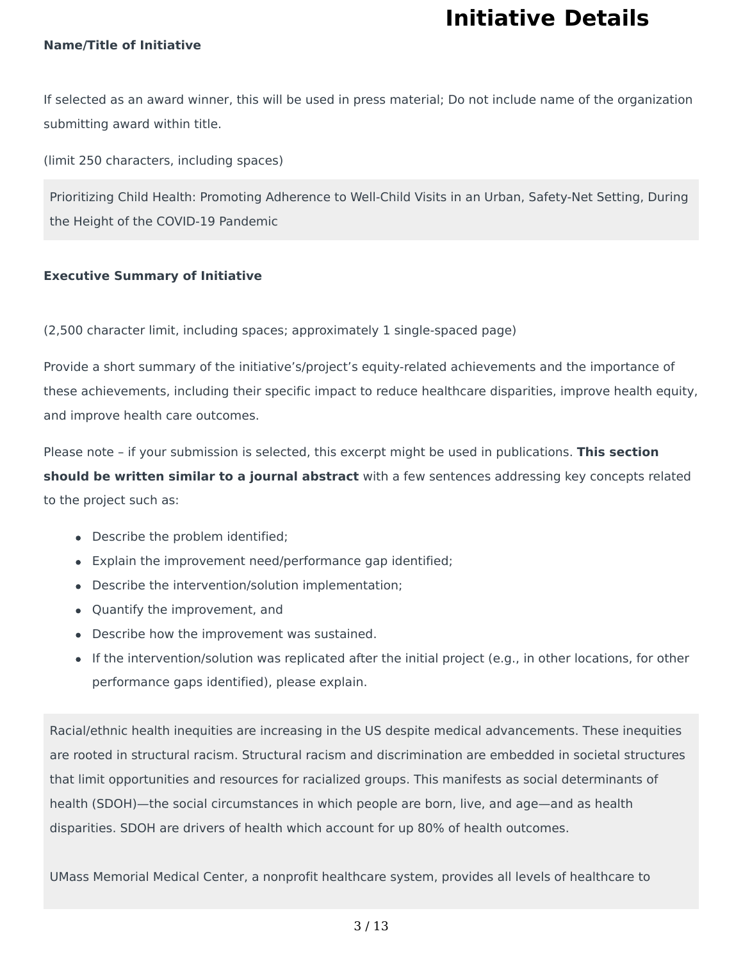# **Initiative Details**

### **Name/Title of Initiative**

If selected as an award winner, this will be used in press material; Do not include name of the organization submitting award within title.

(limit 250 characters, including spaces)

Prioritizing Child Health: Promoting Adherence to Well-Child Visits in an Urban, Safety-Net Setting, During the Height of the COVID-19 Pandemic

### **Executive Summary of Initiative**

(2,500 character limit, including spaces; approximately 1 single-spaced page)

Provide a short summary of the initiative's/project's equity-related achievements and the importance of these achievements, including their specific impact to reduce healthcare disparities, improve health equity, and improve health care outcomes.

Please note - if your submission is selected, this excerpt might be used in publications. **This section should be written similar to a journal abstract** with a few sentences addressing key concepts related to the project such as:

- Describe the problem identified;
- $\bullet$  Explain the improvement need/performance gap identified;
- Describe the intervention/solution implementation;
- Quantify the improvement, and
- Describe how the improvement was sustained.
- If the intervention/solution was replicated after the initial project (e.g., in other locations, for other performance gaps identified), please explain.

Racial/ethnic health inequities are increasing in the US despite medical advancements. These inequities are rooted in structural racism. Structural racism and discrimination are embedded in societal structures that limit opportunities and resources for racialized groups. This manifests as social determinants of health (SDOH)—the social circumstances in which people are born, live, and age—and as health disparities. SDOH are drivers of health which account for up 80% of health outcomes.

UMass Memorial Medical Center, a nonprofit healthcare system, provides all levels of healthcare to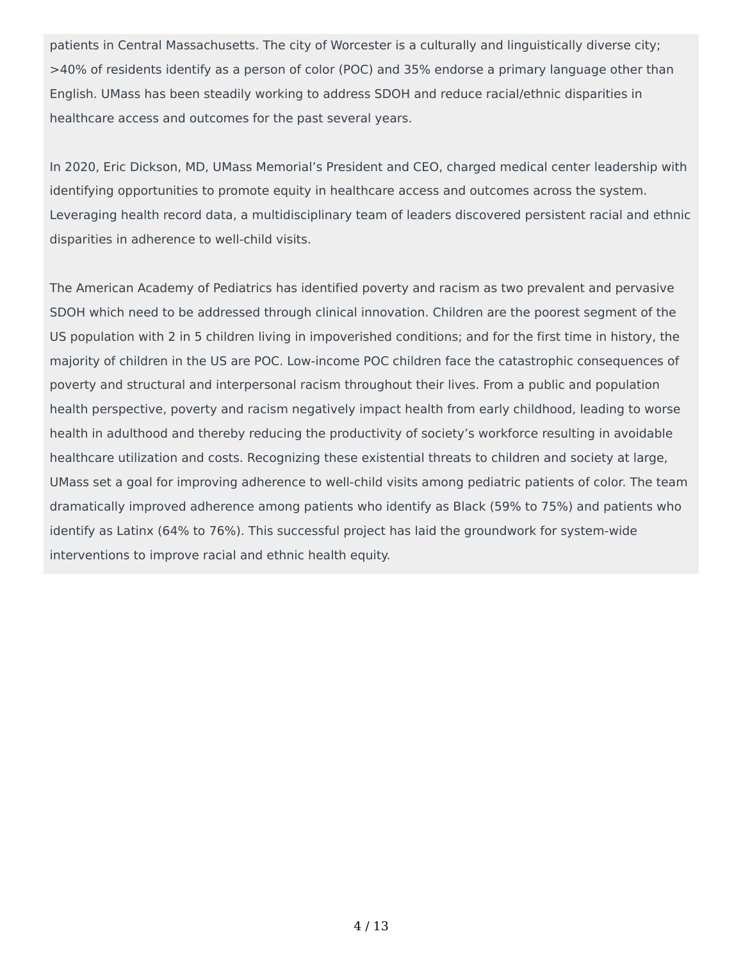patients in Central Massachusetts. The city of Worcester is a culturally and linguistically diverse city; >40% of residents identify as a person of color (POC) and 35% endorse a primary language other than English. UMass has been steadily working to address SDOH and reduce racial/ethnic disparities in healthcare access and outcomes for the past several years.

In 2020, Eric Dickson, MD, UMass Memorial's President and CEO, charged medical center leadership with identifying opportunities to promote equity in healthcare access and outcomes across the system. Leveraging health record data, a multidisciplinary team of leaders discovered persistent racial and ethnic disparities in adherence to well-child visits.

The American Academy of Pediatrics has identified poverty and racism as two prevalent and pervasive SDOH which need to be addressed through clinical innovation. Children are the poorest segment of the US population with 2 in 5 children living in impoverished conditions; and for the first time in history, the majority of children in the US are POC. Low-income POC children face the catastrophic consequences of poverty and structural and interpersonal racism throughout their lives. From a public and population health perspective, poverty and racism negatively impact health from early childhood, leading to worse health in adulthood and thereby reducing the productivity of society's workforce resulting in avoidable healthcare utilization and costs. Recognizing these existential threats to children and society at large, UMass set a goal for improving adherence to well-child visits among pediatric patients of color. The team dramatically improved adherence among patients who identify as Black (59% to 75%) and patients who identify as Latinx (64% to 76%). This successful project has laid the groundwork for system-wide interventions to improve racial and ethnic health equity.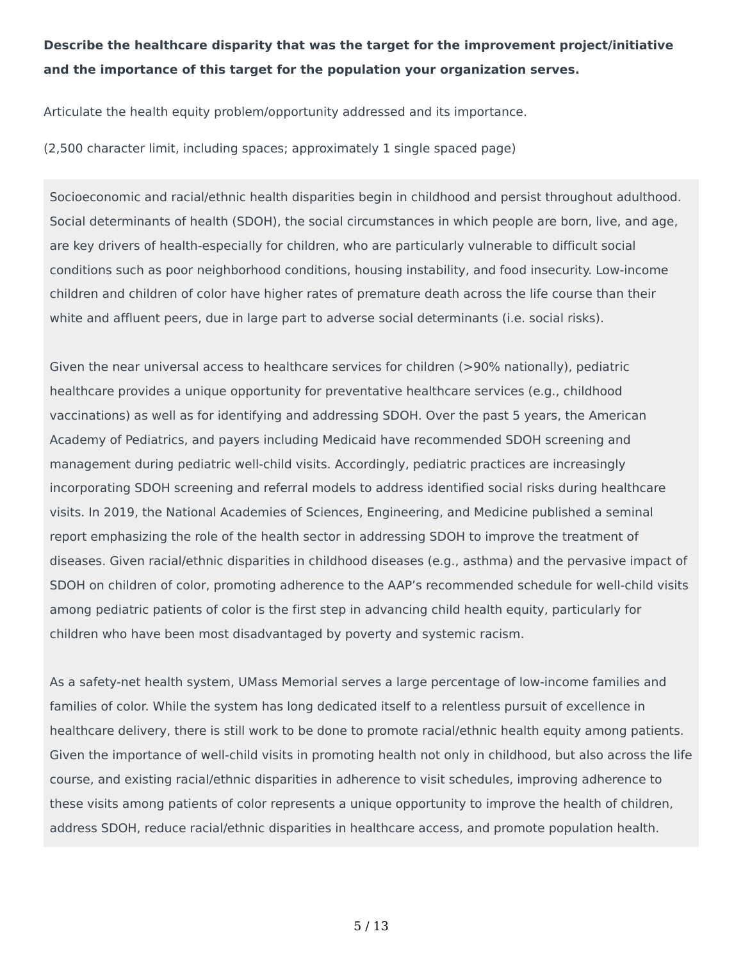## **Describe the healthcare disparity that was the target for the improvement project/initiative and the importance of this target for the population your organization serves.**

Articulate the health equity problem/opportunity addressed and its importance.

(2,500 character limit, including spaces; approximately 1 single spaced page)

Socioeconomic and racial/ethnic health disparities begin in childhood and persist throughout adulthood. Social determinants of health (SDOH), the social circumstances in which people are born, live, and age, are key drivers of health-especially for children, who are particularly vulnerable to difficult social conditions such as poor neighborhood conditions, housing instability, and food insecurity. Low-income children and children of color have higher rates of premature death across the life course than their white and affluent peers, due in large part to adverse social determinants (i.e. social risks).

Given the near universal access to healthcare services for children (>90% nationally), pediatric healthcare provides a unique opportunity for preventative healthcare services (e.g., childhood vaccinations) as well as for identifying and addressing SDOH. Over the past 5 years, the American Academy of Pediatrics, and payers including Medicaid have recommended SDOH screening and management during pediatric well-child visits. Accordingly, pediatric practices are increasingly incorporating SDOH screening and referral models to address identified social risks during healthcare visits. In 2019, the National Academies of Sciences, Engineering, and Medicine published a seminal report emphasizing the role of the health sector in addressing SDOH to improve the treatment of diseases. Given racial/ethnic disparities in childhood diseases (e.g., asthma) and the pervasive impact of SDOH on children of color, promoting adherence to the AAP's recommended schedule for well-child visits among pediatric patients of color is the first step in advancing child health equity, particularly for children who have been most disadvantaged by poverty and systemic racism.

As a safety-net health system, UMass Memorial serves a large percentage of low-income families and families of color. While the system has long dedicated itself to a relentless pursuit of excellence in healthcare delivery, there is still work to be done to promote racial/ethnic health equity among patients. Given the importance of well-child visits in promoting health not only in childhood, but also across the life course, and existing racial/ethnic disparities in adherence to visit schedules, improving adherence to these visits among patients of color represents a unique opportunity to improve the health of children, address SDOH, reduce racial/ethnic disparities in healthcare access, and promote population health.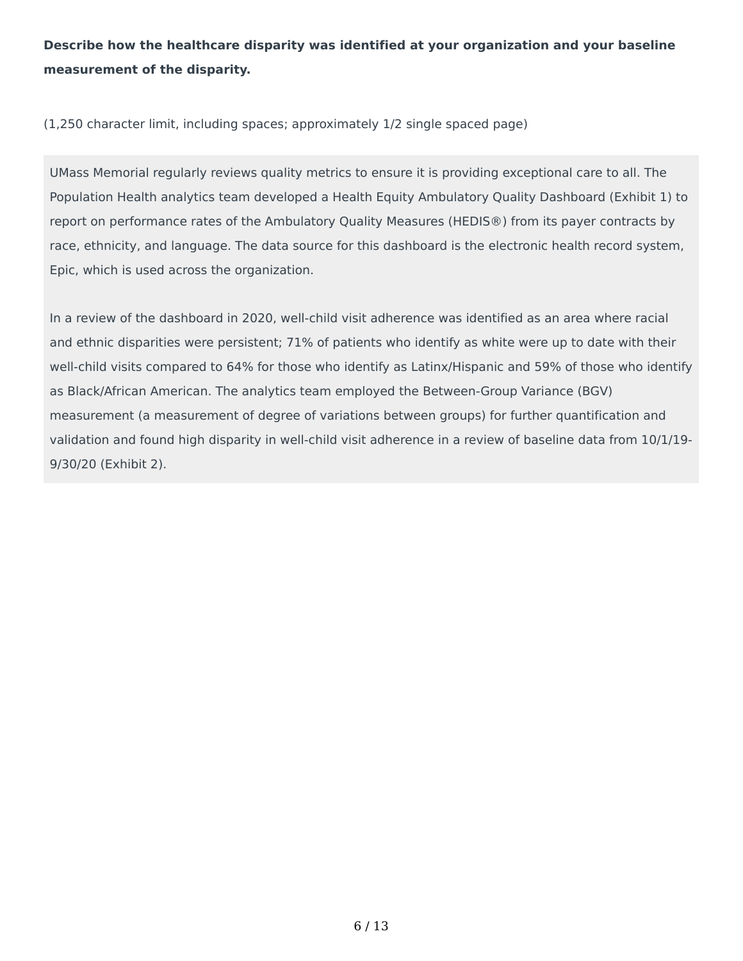## **Describe how the healthcare disparity was identified at your organization and your baseline measurement of the disparity.**

(1,250 character limit, including spaces; approximately 1/2 single spaced page)

UMass Memorial regularly reviews quality metrics to ensure it is providing exceptional care to all. The Population Health analytics team developed a Health Equity Ambulatory Quality Dashboard (Exhibit 1) to report on performance rates of the Ambulatory Quality Measures (HEDIS®) from its payer contracts by race, ethnicity, and language. The data source for this dashboard is the electronic health record system, Epic, which is used across the organization.

In a review of the dashboard in 2020, well-child visit adherence was identified as an area where racial and ethnic disparities were persistent; 71% of patients who identify as white were up to date with their well-child visits compared to 64% for those who identify as Latinx/Hispanic and 59% of those who identify as Black/African American. The analytics team employed the Between-Group Variance (BGV) measurement (a measurement of degree of variations between groups) for further quantification and validation and found high disparity in well-child visit adherence in a review of baseline data from 10/1/19- 9/30/20 (Exhibit 2).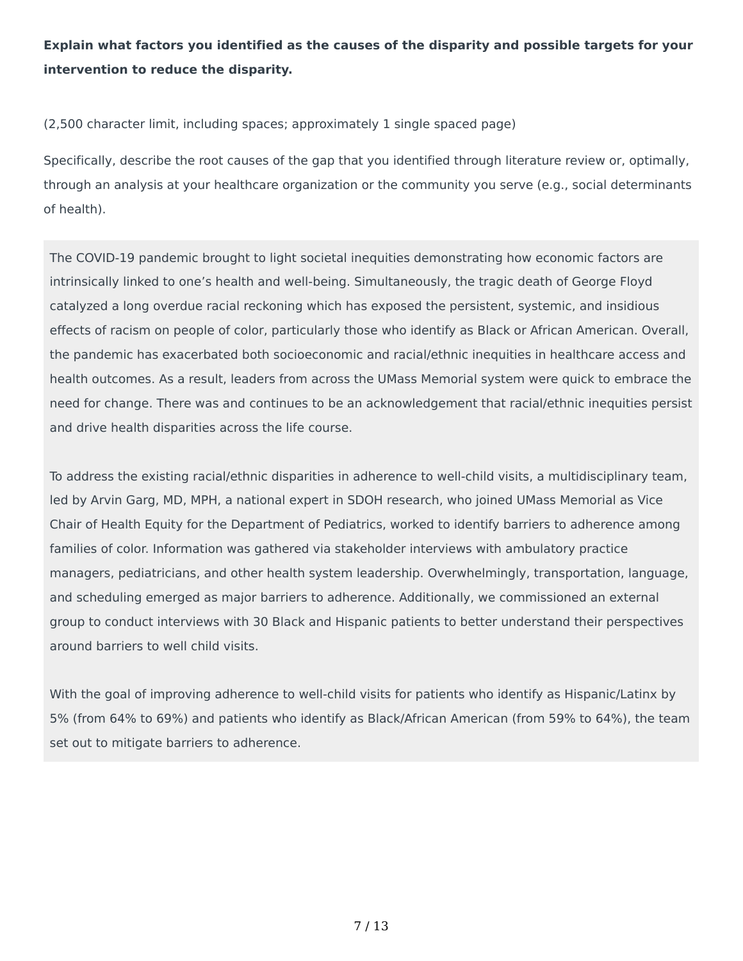## **Explain what factors you identified as the causes of the disparity and possible targets for your intervention to reduce the disparity.**

(2,500 character limit, including spaces; approximately 1 single spaced page)

Specifically, describe the root causes of the gap that you identified through literature review or, optimally, through an analysis at your healthcare organization or the community you serve (e.g., social determinants of health).

The COVID-19 pandemic brought to light societal inequities demonstrating how economic factors are intrinsically linked to one's health and well-being. Simultaneously, the tragic death of George Floyd catalyzed a long overdue racial reckoning which has exposed the persistent, systemic, and insidious effects of racism on people of color, particularly those who identify as Black or African American. Overall, the pandemic has exacerbated both socioeconomic and racial/ethnic inequities in healthcare access and health outcomes. As a result, leaders from across the UMass Memorial system were quick to embrace the need for change. There was and continues to be an acknowledgement that racial/ethnic inequities persist and drive health disparities across the life course.

To address the existing racial/ethnic disparities in adherence to well-child visits, a multidisciplinary team, led by Arvin Garg, MD, MPH, a national expert in SDOH research, who joined UMass Memorial as Vice Chair of Health Equity for the Department of Pediatrics, worked to identify barriers to adherence among families of color. Information was gathered via stakeholder interviews with ambulatory practice managers, pediatricians, and other health system leadership. Overwhelmingly, transportation, language, and scheduling emerged as major barriers to adherence. Additionally, we commissioned an external group to conduct interviews with 30 Black and Hispanic patients to better understand their perspectives around barriers to well child visits.

With the goal of improving adherence to well-child visits for patients who identify as Hispanic/Latinx by 5% (from 64% to 69%) and patients who identify as Black/African American (from 59% to 64%), the team set out to mitigate barriers to adherence.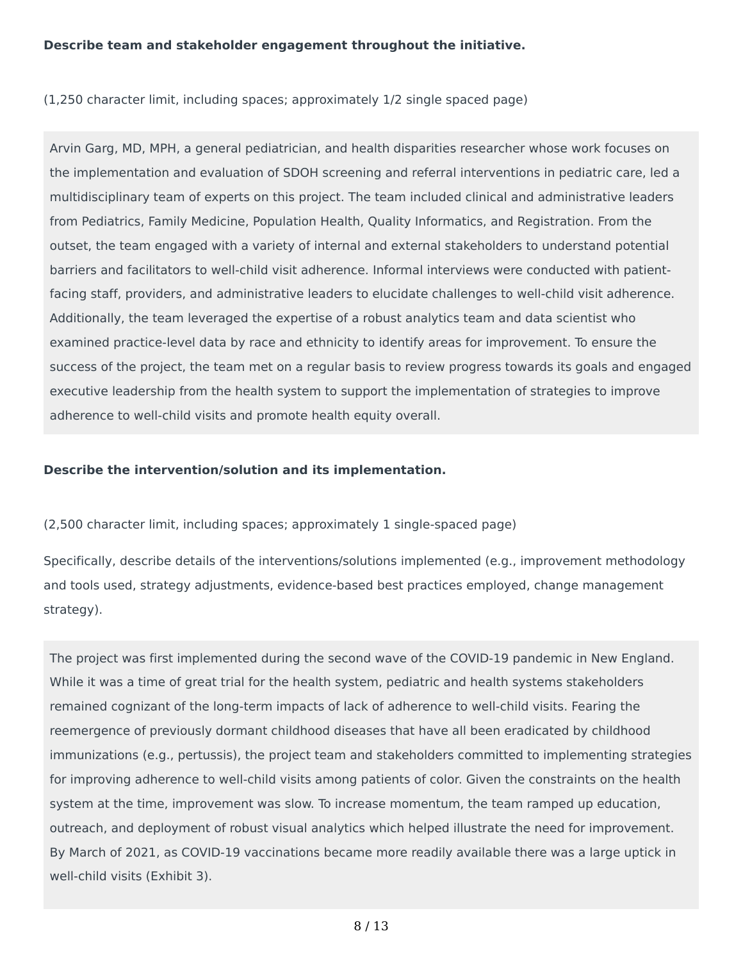### **Describe team and stakeholder engagement throughout the initiative.**

(1,250 character limit, including spaces; approximately 1/2 single spaced page)

Arvin Garg, MD, MPH, a general pediatrician, and health disparities researcher whose work focuses on the implementation and evaluation of SDOH screening and referral interventions in pediatric care, led a multidisciplinary team of experts on this project. The team included clinical and administrative leaders from Pediatrics, Family Medicine, Population Health, Quality Informatics, and Registration. From the outset, the team engaged with a variety of internal and external stakeholders to understand potential barriers and facilitators to well-child visit adherence. Informal interviews were conducted with patientfacing staff, providers, and administrative leaders to elucidate challenges to well-child visit adherence. Additionally, the team leveraged the expertise of a robust analytics team and data scientist who examined practice-level data by race and ethnicity to identify areas for improvement. To ensure the success of the project, the team met on a regular basis to review progress towards its goals and engaged executive leadership from the health system to support the implementation of strategies to improve adherence to well-child visits and promote health equity overall.

### **Describe the intervention/solution and its implementation.**

(2,500 character limit, including spaces; approximately 1 single-spaced page)

Specifically, describe details of the interventions/solutions implemented (e.g., improvement methodology and tools used, strategy adjustments, evidence-based best practices employed, change management strategy).

The project was first implemented during the second wave of the COVID-19 pandemic in New England. While it was a time of great trial for the health system, pediatric and health systems stakeholders remained cognizant of the long-term impacts of lack of adherence to well-child visits. Fearing the reemergence of previously dormant childhood diseases that have all been eradicated by childhood immunizations (e.g., pertussis), the project team and stakeholders committed to implementing strategies for improving adherence to well-child visits among patients of color. Given the constraints on the health system at the time, improvement was slow. To increase momentum, the team ramped up education, outreach, and deployment of robust visual analytics which helped illustrate the need for improvement. By March of 2021, as COVID-19 vaccinations became more readily available there was a large uptick in well-child visits (Exhibit 3).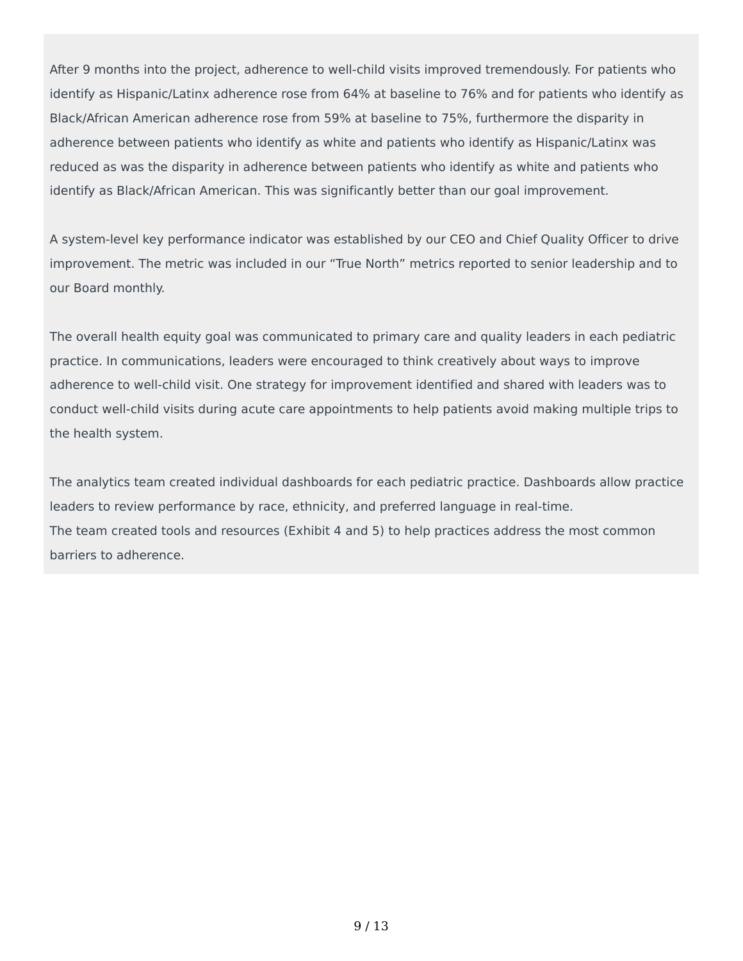After 9 months into the project, adherence to well-child visits improved tremendously. For patients who identify as Hispanic/Latinx adherence rose from 64% at baseline to 76% and for patients who identify as Black/African American adherence rose from 59% at baseline to 75%, furthermore the disparity in adherence between patients who identify as white and patients who identify as Hispanic/Latinx was reduced as was the disparity in adherence between patients who identify as white and patients who identify as Black/African American. This was significantly better than our goal improvement.

A system-level key performance indicator was established by our CEO and Chief Quality Officer to drive improvement. The metric was included in our "True North" metrics reported to senior leadership and to our Board monthly.

The overall health equity goal was communicated to primary care and quality leaders in each pediatric practice. In communications, leaders were encouraged to think creatively about ways to improve adherence to well-child visit. One strategy for improvement identified and shared with leaders was to conduct well-child visits during acute care appointments to help patients avoid making multiple trips to the health system.

The analytics team created individual dashboards for each pediatric practice. Dashboards allow practice leaders to review performance by race, ethnicity, and preferred language in real-time. The team created tools and resources (Exhibit 4 and 5) to help practices address the most common barriers to adherence.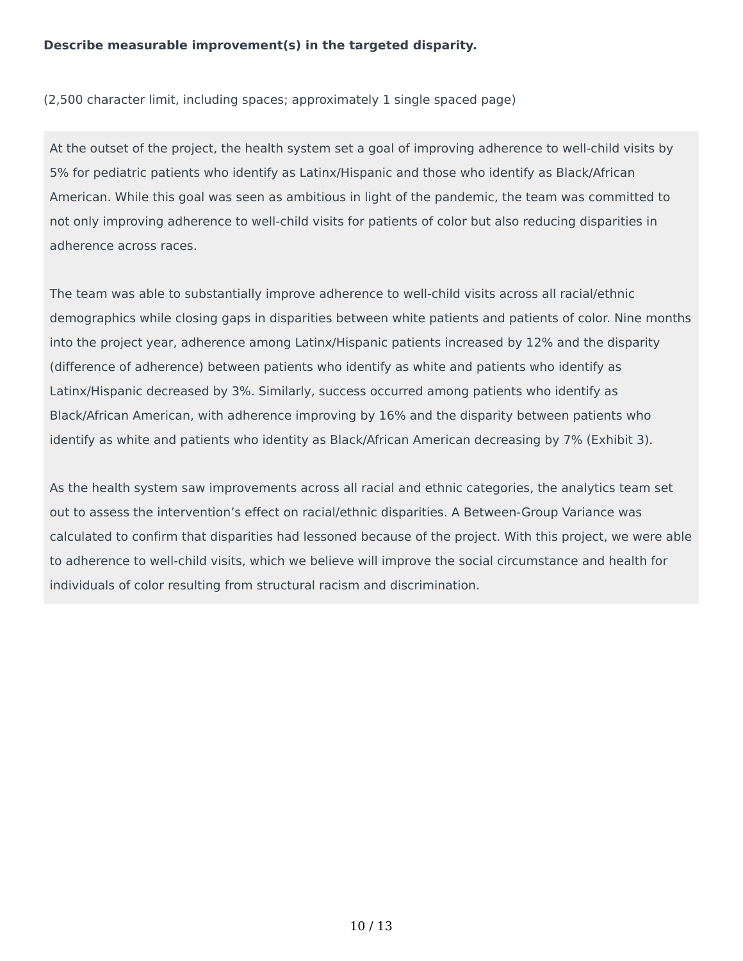### **Describe measurable improvement(s) in the targeted disparity.**

(2,500 character limit, including spaces; approximately 1 single spaced page)

At the outset of the project, the health system set a goal of improving adherence to well-child visits by 5% for pediatric patients who identify as Latinx/Hispanic and those who identify as Black/African American. While this goal was seen as ambitious in light of the pandemic, the team was committed to not only improving adherence to well-child visits for patients of color but also reducing disparities in adherence across races.

The team was able to substantially improve adherence to well-child visits across all racial/ethnic demographics while closing gaps in disparities between white patients and patients of color. Nine months into the project year, adherence among Latinx/Hispanic patients increased by 12% and the disparity (difference of adherence) between patients who identify as white and patients who identify as Latinx/Hispanic decreased by 3%. Similarly, success occurred among patients who identify as Black/African American, with adherence improving by 16% and the disparity between patients who identify as white and patients who identity as Black/African American decreasing by 7% (Exhibit 3).

As the health system saw improvements across all racial and ethnic categories, the analytics team set out to assess the intervention's effect on racial/ethnic disparities. A Between-Group Variance was calculated to confirm that disparities had lessoned because of the project. With this project, we were able to adherence to well-child visits, which we believe will improve the social circumstance and health for individuals of color resulting from structural racism and discrimination.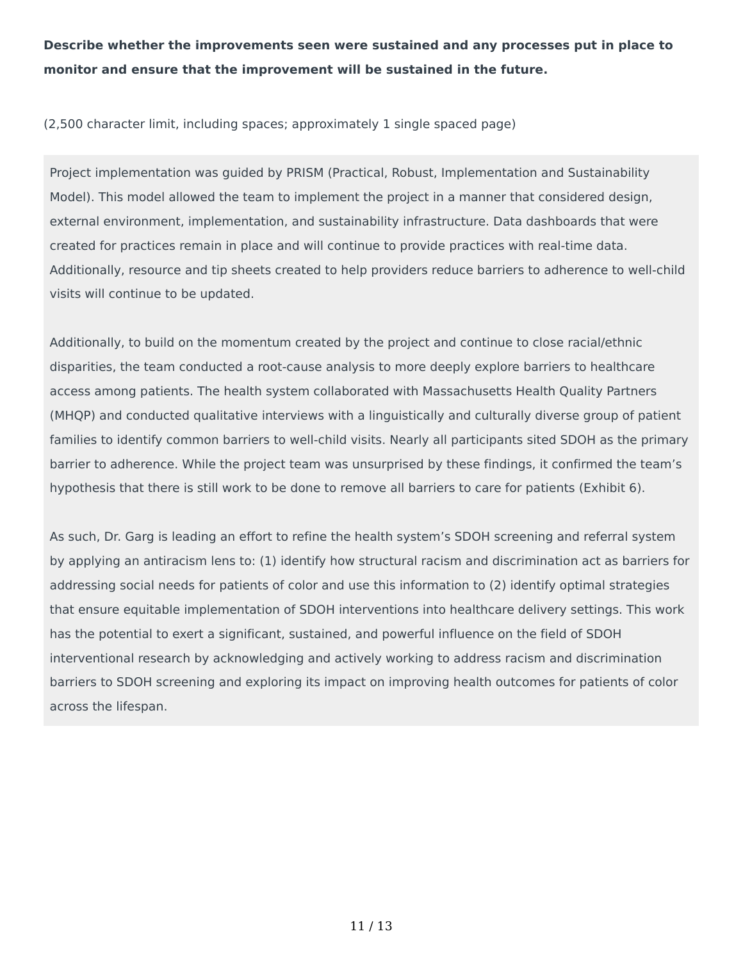**Describe whether the improvements seen were sustained and any processes put in place to monitor and ensure that the improvement will be sustained in the future.**

(2,500 character limit, including spaces; approximately 1 single spaced page)

Project implementation was guided by PRISM (Practical, Robust, Implementation and Sustainability Model). This model allowed the team to implement the project in a manner that considered design, external environment, implementation, and sustainability infrastructure. Data dashboards that were created for practices remain in place and will continue to provide practices with real-time data. Additionally, resource and tip sheets created to help providers reduce barriers to adherence to well-child visits will continue to be updated.

Additionally, to build on the momentum created by the project and continue to close racial/ethnic disparities, the team conducted a root-cause analysis to more deeply explore barriers to healthcare access among patients. The health system collaborated with Massachusetts Health Quality Partners (MHQP) and conducted qualitative interviews with a linguistically and culturally diverse group of patient families to identify common barriers to well-child visits. Nearly all participants sited SDOH as the primary barrier to adherence. While the project team was unsurprised by these findings, it confirmed the team's hypothesis that there is still work to be done to remove all barriers to care for patients (Exhibit 6).

As such, Dr. Garg is leading an effort to refine the health system's SDOH screening and referral system by applying an antiracism lens to: (1) identify how structural racism and discrimination act as barriers for addressing social needs for patients of color and use this information to (2) identify optimal strategies that ensure equitable implementation of SDOH interventions into healthcare delivery settings. This work has the potential to exert a significant, sustained, and powerful influence on the field of SDOH interventional research by acknowledging and actively working to address racism and discrimination barriers to SDOH screening and exploring its impact on improving health outcomes for patients of color across the lifespan.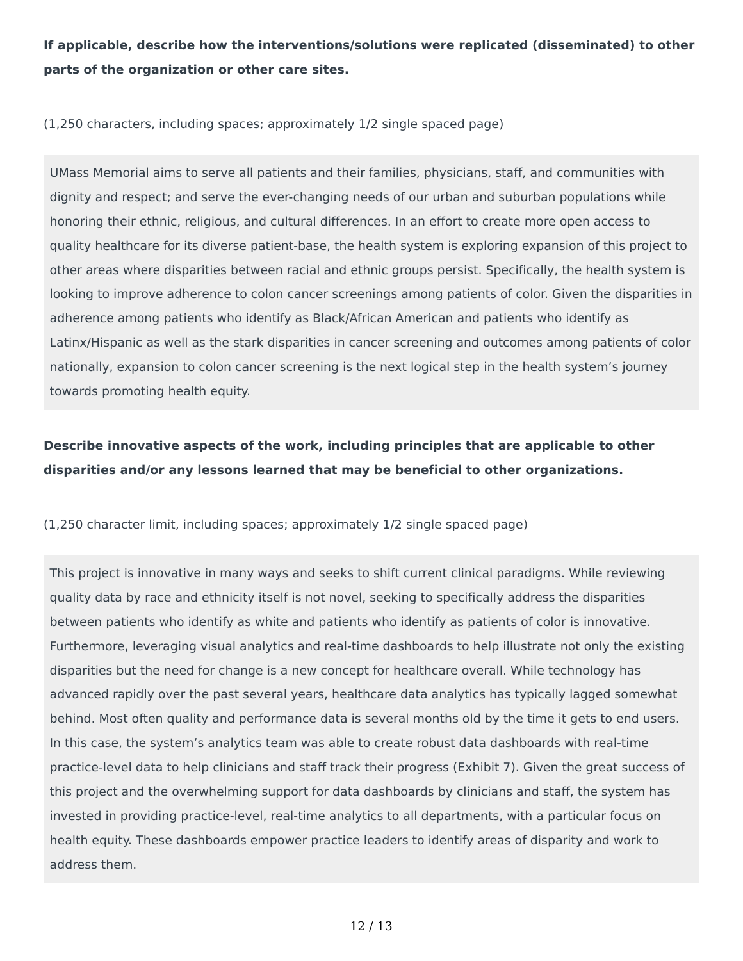**If applicable, describe how the interventions/solutions were replicated (disseminated) to other parts of the organization or other care sites.**

(1,250 characters, including spaces; approximately 1/2 single spaced page)

UMass Memorial aims to serve all patients and their families, physicians, staff, and communities with dignity and respect; and serve the ever-changing needs of our urban and suburban populations while honoring their ethnic, religious, and cultural differences. In an effort to create more open access to quality healthcare for its diverse patient-base, the health system is exploring expansion of this project to other areas where disparities between racial and ethnic groups persist. Specifically, the health system is looking to improve adherence to colon cancer screenings among patients of color. Given the disparities in adherence among patients who identify as Black/African American and patients who identify as Latinx/Hispanic as well as the stark disparities in cancer screening and outcomes among patients of color nationally, expansion to colon cancer screening is the next logical step in the health system's journey towards promoting health equity.

## **Describe innovative aspects of the work, including principles that are applicable to other disparities and/or any lessons learned that may be beneficial to other organizations.**

(1,250 character limit, including spaces; approximately 1/2 single spaced page)

This project is innovative in many ways and seeks to shift current clinical paradigms. While reviewing quality data by race and ethnicity itself is not novel, seeking to specifically address the disparities between patients who identify as white and patients who identify as patients of color is innovative. Furthermore, leveraging visual analytics and real-time dashboards to help illustrate not only the existing disparities but the need for change is a new concept for healthcare overall. While technology has advanced rapidly over the past several years, healthcare data analytics has typically lagged somewhat behind. Most often quality and performance data is several months old by the time it gets to end users. In this case, the system's analytics team was able to create robust data dashboards with real-time practice-level data to help clinicians and staff track their progress (Exhibit 7). Given the great success of this project and the overwhelming support for data dashboards by clinicians and staff, the system has invested in providing practice-level, real-time analytics to all departments, with a particular focus on health equity. These dashboards empower practice leaders to identify areas of disparity and work to address them.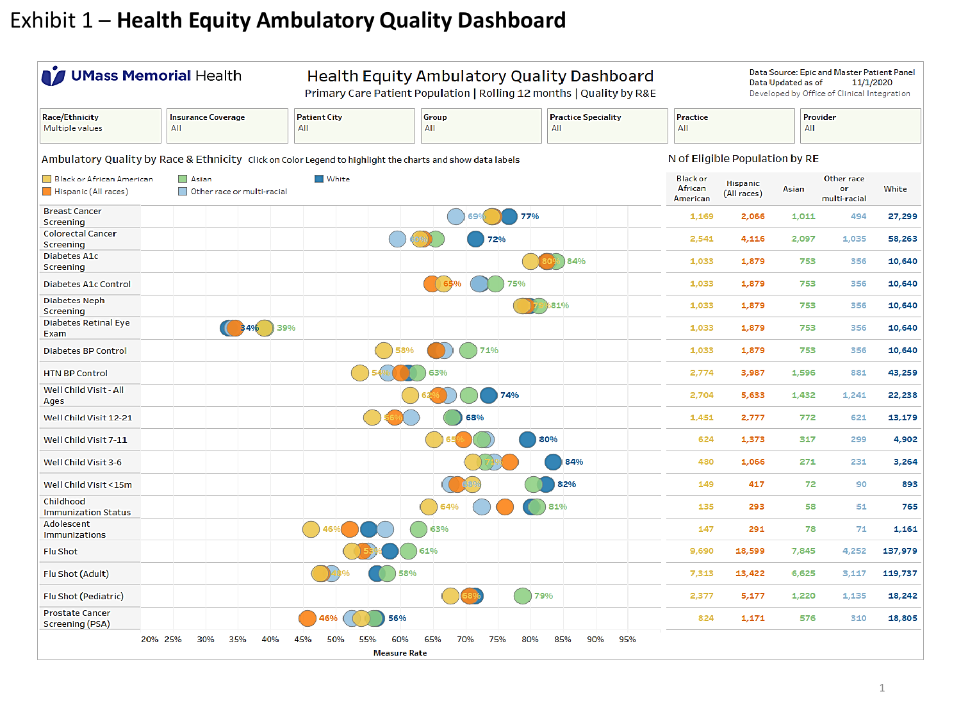# Exhibit 1 – **Health Equity Ambulatory Quality Dashboard**

| <b>J</b> UMass Memorial Health                                                                                                 |                                  |     |                                                                                      |                            |     |                            |              |            |                                        | Health Equity Ambulatory Quality Dashboard<br>Primary Care Patient Population   Rolling 12 months   Quality by R&E |                        |                                  | Data Updated as of | Data Source: Epic and Master Patient Panel<br>11/1/2020<br>Developed by Office of Clinical Integration |         |
|--------------------------------------------------------------------------------------------------------------------------------|----------------------------------|-----|--------------------------------------------------------------------------------------|----------------------------|-----|----------------------------|--------------|------------|----------------------------------------|--------------------------------------------------------------------------------------------------------------------|------------------------|----------------------------------|--------------------|--------------------------------------------------------------------------------------------------------|---------|
| <b>Race/Ethnicity</b><br>Multiple values                                                                                       | <b>Insurance Coverage</b><br>AII |     |                                                                                      | <b>Patient City</b><br>AII |     |                            | Group<br>AII |            |                                        | <b>Practice Speciality</b><br>AII                                                                                  | <b>Practice</b><br>AII |                                  | AII                | Provider                                                                                               |         |
| Ambulatory Quality by Race & Ethnicity Click on Color Legend to highlight the charts and show data labels                      |                                  |     |                                                                                      |                            |     |                            |              |            |                                        |                                                                                                                    |                        | N of Eligible Population by RE   |                    |                                                                                                        |         |
| <b>Black or African American</b><br>$\Box$ Asian<br>$\blacksquare$ White<br>Hispanic (All races)<br>Other race or multi-racial |                                  |     |                                                                                      |                            |     |                            |              |            | <b>Black or</b><br>African<br>American | <b>Hispanic</b><br>(All races)                                                                                     | Asian                  | Other race<br>or<br>multi-racial | White              |                                                                                                        |         |
| <b>Breast Cancer</b><br>Screening                                                                                              |                                  |     |                                                                                      |                            |     |                            |              | 69'        | 77%                                    |                                                                                                                    | 1,169                  | 2,066                            | 1,011              | 494                                                                                                    | 27,299  |
| <b>Colorectal Cancer</b><br>Screening                                                                                          |                                  |     |                                                                                      |                            |     | O <sup>O</sup> f           |              | 72%        |                                        |                                                                                                                    | 2,541                  | 4,116                            | 2,097              | 1,035                                                                                                  | 58,263  |
| Diabetes A1c<br>Screening                                                                                                      |                                  |     |                                                                                      |                            |     |                            |              |            |                                        | 84%                                                                                                                | 1,033                  | 1,879                            | 753                | 356                                                                                                    | 10,640  |
| <b>Diabetes A1c Control</b>                                                                                                    |                                  |     |                                                                                      |                            |     |                            | (65%         |            | 75%                                    |                                                                                                                    | 1.033                  | 1,879                            | 753                | 356                                                                                                    | 10,640  |
| Diabetes Neph<br>Screening                                                                                                     |                                  |     |                                                                                      |                            |     |                            |              |            |                                        | 681%                                                                                                               | 1,033                  | 1,879                            | 753                | 356                                                                                                    | 10,640  |
| Diabetes Retinal Eye<br>Exam                                                                                                   |                                  |     | $\begin{array}{ c c c c c } \hline \textbf{3496} & \textbf{3496} \hline \end{array}$ | 39%                        |     |                            |              |            |                                        |                                                                                                                    | 1,033                  | 1,879                            | 753                | 356                                                                                                    | 10,640  |
| Diabetes BP Control                                                                                                            |                                  |     |                                                                                      |                            |     | 58%                        |              | 71%        |                                        |                                                                                                                    | 1,033                  | 1,879                            | 753                | 356                                                                                                    | 10,640  |
| <b>HTN BP Control</b>                                                                                                          |                                  |     |                                                                                      |                            |     |                            |              |            |                                        |                                                                                                                    | 2,774                  | 3,987                            | 1,596              | 881                                                                                                    | 43,259  |
| Well Child Visit - All<br>Ages                                                                                                 |                                  |     |                                                                                      |                            |     |                            |              |            | 74%                                    |                                                                                                                    | 2,704                  | 5,633                            | 1,432              | 1,241                                                                                                  | 22,238  |
| Well Child Visit 12-21                                                                                                         |                                  |     |                                                                                      |                            |     |                            |              | 68%        |                                        |                                                                                                                    | 1,451                  | 2,777                            | 772                | 621                                                                                                    | 13,179  |
| Well Child Visit 7-11                                                                                                          |                                  |     |                                                                                      |                            |     |                            |              |            | 80%                                    |                                                                                                                    | 624                    | 1,373                            | 317                | 299                                                                                                    | 4,902   |
| Well Child Visit 3-6                                                                                                           |                                  |     |                                                                                      |                            |     |                            |              |            |                                        | 84%                                                                                                                | 480                    | 1,066                            | 271                | 231                                                                                                    | 3,264   |
| Well Child Visit <15m                                                                                                          |                                  |     |                                                                                      |                            |     |                            |              |            |                                        | 82%                                                                                                                | 149                    | 417                              | 72                 | 90                                                                                                     | 893     |
| Childhood<br><b>Immunization Status</b>                                                                                        |                                  |     |                                                                                      |                            |     |                            | 64%          |            |                                        | 81%                                                                                                                | 135                    | 293                              | 58                 | 51                                                                                                     | 765     |
| <b>Adolescent</b><br><b>Immunizations</b>                                                                                      |                                  |     |                                                                                      |                            |     |                            | 63%          |            |                                        |                                                                                                                    | 147                    | 291                              | 78                 | 71                                                                                                     | 1,161   |
| <b>Flu Shot</b>                                                                                                                |                                  |     |                                                                                      |                            |     |                            | 61%          |            |                                        |                                                                                                                    | 9,690                  | 18,599                           | 7,845              | 4,252                                                                                                  | 137,979 |
| Flu Shot (Adult)                                                                                                               |                                  |     |                                                                                      |                            |     | 58%                        |              |            |                                        |                                                                                                                    | 7,313                  | 13,422                           | 6,625              | 3,117                                                                                                  | 119,737 |
| Flu Shot (Pediatric)                                                                                                           |                                  |     |                                                                                      |                            |     |                            |              |            | 79%                                    |                                                                                                                    | 2,377                  | 5,177                            | 1,220              | 1.135                                                                                                  | 18,242  |
| <b>Prostate Cancer</b><br>Screening (PSA)                                                                                      |                                  |     |                                                                                      | 46%                        |     | 56%                        |              |            |                                        |                                                                                                                    | 824                    | 1,171                            | 576                | 310                                                                                                    | 18,805  |
|                                                                                                                                | 20% 25%<br>30%                   | 35% | 40%                                                                                  | 45%<br>50%                 | 55% | 60%<br><b>Measure Rate</b> | 65%          | 70%<br>75% | 80%                                    | 85%<br>90%<br>95%                                                                                                  |                        |                                  |                    |                                                                                                        |         |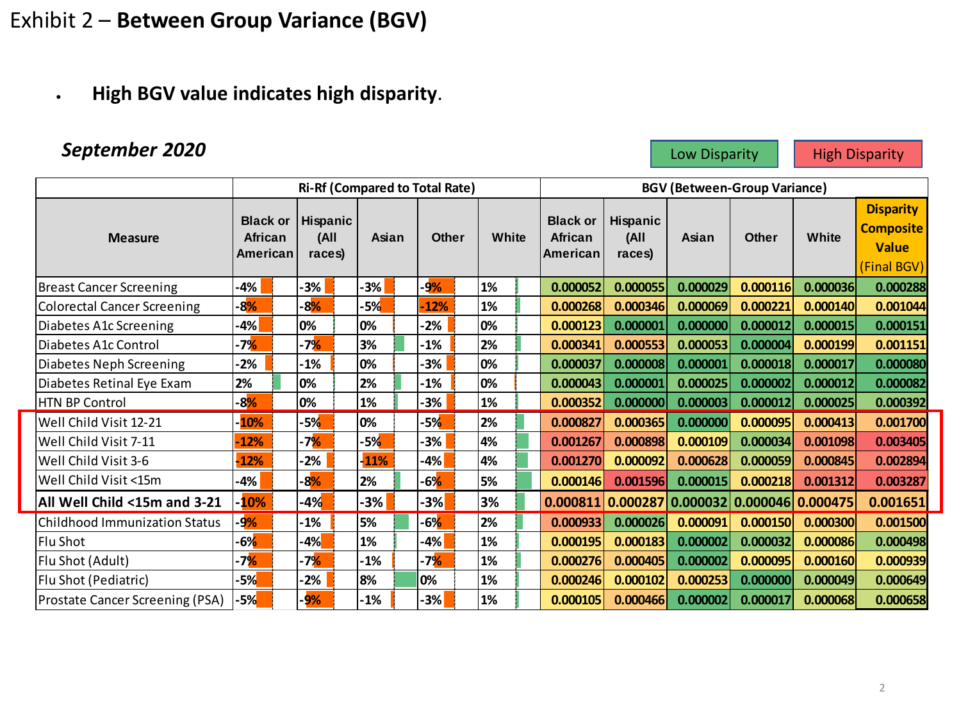# Exhibit 2 – **Between Group Variance (BGV)**

• **High BGV value indicates high disparity**.

# **September 2020 Low Disparity Accord High Disparity**

|                                      |                                        |                            | <b>Ri-Rf (Compared to Total Rate)</b> |              |       |                                         | <b>BGV (Between-Group Variance)</b>                      |          |              |          |                                                                     |  |  |
|--------------------------------------|----------------------------------------|----------------------------|---------------------------------------|--------------|-------|-----------------------------------------|----------------------------------------------------------|----------|--------------|----------|---------------------------------------------------------------------|--|--|
| <b>Measure</b>                       | <b>Black or</b><br>African<br>American | Hispanic<br>(All<br>races) | Asian                                 | <b>Other</b> | White | <b>Black or</b><br>African<br>lAmerican | Hispanic<br>(All<br>races)                               | Asian    | <b>Other</b> | White    | <b>Disparity</b><br><b>Composite</b><br><b>Value</b><br>(Final BGV) |  |  |
| <b>Breast Cancer Screening</b>       | -4%                                    | 3%                         | 3%                                    | 9%           | 1%    | 0.000052                                | 0.000055                                                 | 0.000029 | 0.000116     | 0.000036 | 0.000288                                                            |  |  |
| <b>Colorectal Cancer Screening</b>   | $-8%$                                  | $-8%$                      | $-5%$                                 | 12%          | 1%    | 0.000268                                | 0.000346                                                 | 0.000069 | 0.000221     | 0.000140 | 0.001044                                                            |  |  |
| Diabetes A1c Screening               | -4%                                    | 0%                         | 0%                                    | $-2%$        | 0%    | 0.000123                                | 0.000001                                                 | 0.000000 | 0.000012     | 0.000015 | 0.000151                                                            |  |  |
| Diabetes A1c Control                 | -7%                                    | -7 <mark>%</mark>          | 3%                                    | $-1%$        | 2%    | 0.000341                                | 0.000553                                                 | 0.000053 | 0.000004     | 0.000199 | 0.001151                                                            |  |  |
| Diabetes Neph Screening              | -2%                                    | -1%                        | 0%                                    | 3%           | 0%    | 0.000037                                | 0.000008                                                 | 0.000001 | 0.000018     | 0.000017 | 0.000080                                                            |  |  |
| Diabetes Retinal Eye Exam            | 2%                                     | 0%                         | 2%                                    | $-1%$        | 0%    | 0.000043                                | 0.000001                                                 | 0.000025 | 0.000002     | 0.000012 | 0.000082                                                            |  |  |
| <b>HTN BP Control</b>                | $-8%$                                  | 0%                         | 1%                                    | 3%           | 1%    | 0.000352                                | 0.000000                                                 | 0.000003 | 0.000012     | 0.000025 | 0.000392                                                            |  |  |
| Well Child Visit 12-21               | $-10%$                                 | $-5%$                      | 0%                                    | 5%           | 2%    | 0.000827                                | 0.000365                                                 | 0.000000 | 0.000095     | 0.000413 | 0.001700                                                            |  |  |
| Well Child Visit 7-11                | $-12%$                                 | -7 <mark>%</mark>          | $-5%$                                 | -3%          | 4%    | 0.001267                                | 0.000898                                                 | 0.000109 | 0.000034     | 0.001098 | 0.003405                                                            |  |  |
| Well Child Visit 3-6                 | $-12%$                                 | $-2%$                      | $-11%$                                | 4%           | 4%    | 0.001270                                | 0.000092                                                 | 0.000628 | 0.000059     | 0.000845 | 0.002894                                                            |  |  |
| Well Child Visit <15m                | $-4%$                                  | $-8%$                      | 2%                                    | 6%           | 5%    | 0.000146                                | 0.001596                                                 | 0.000015 | 0.000218     | 0.001312 | 0.003287                                                            |  |  |
| All Well Child <15m and 3-21         | $-10%$                                 | $-4%$                      | -3%                                   | $-3%$        | 3%    |                                         | $0.000811   0.000287   0.000032   0.000046   0.000475  $ |          |              |          | 0.001651                                                            |  |  |
| <b>Childhood Immunization Status</b> | -9%                                    | $-1%$                      | 5%                                    | $-6%$        | 2%    | 0.000933                                | 0.000026                                                 | 0.000091 | 0.000150     | 0.000300 | 0.001500                                                            |  |  |
| Flu Shot                             | $-6%$                                  | $-4%$                      | 1%                                    | 4%           | 1%    | 0.000195                                | 0.000183                                                 | 0.000002 | 0.000032     | 0.000086 | 0.000498                                                            |  |  |
| Flu Shot (Adult)                     | -7 <mark>%</mark>                      | $-7%$                      | -1%                                   | $-7%$        | 1%    | 0.000276                                | 0.000405                                                 | 0.000002 | 0.000095     | 0.000160 | 0.000939                                                            |  |  |
| Flu Shot (Pediatric)                 | -5% <mark>.</mark>                     | $-2%$                      | 8%                                    | 0%           | 1%    | 0.000246                                | 0.000102                                                 | 0.000253 | 0.000000     | 0.000049 | 0.000649                                                            |  |  |
| Prostate Cancer Screening (PSA)      | $-5%$                                  | $-9%$                      | $-1\%$                                | 3%           | 1%    | 0.000105                                | 0.000466                                                 | 0.000002 | 0.000017     | 0.000068 | 0.000658                                                            |  |  |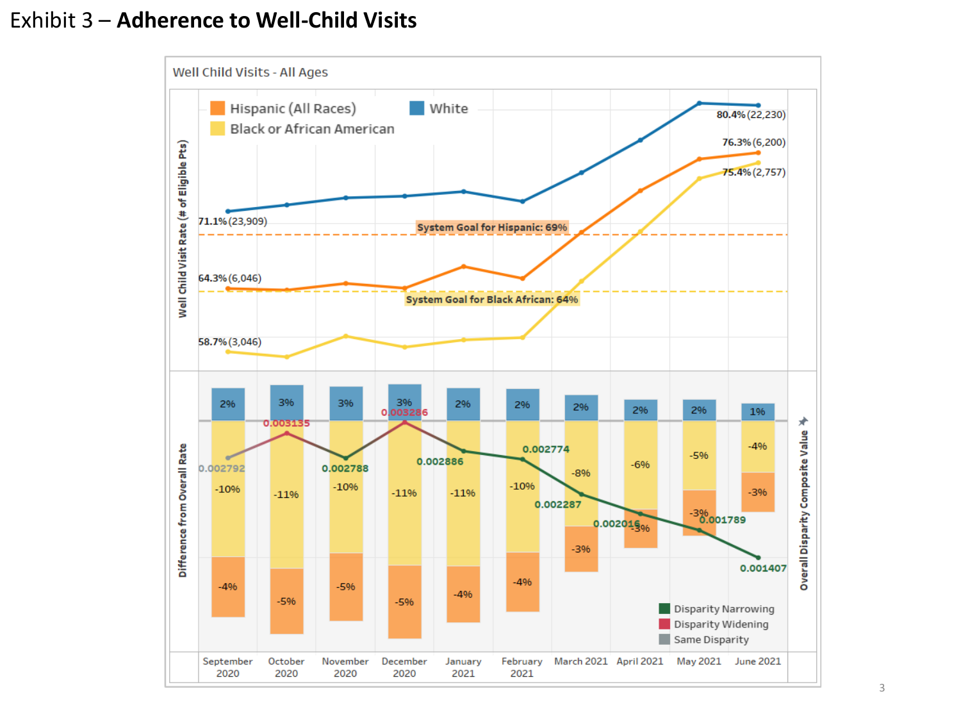# Exhibit 3 – **Adherence to Well-Child Visits**

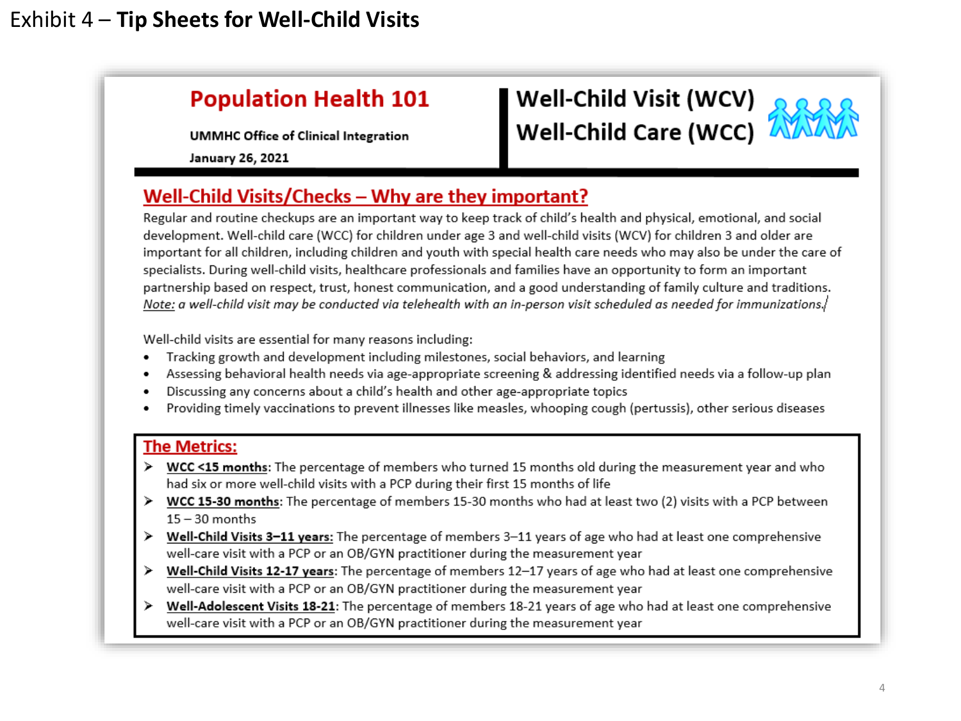# **Population Health 101**

**UMMHC Office of Clinical Integration** 

**January 26, 2021** 

# Well-Child Visit (WCV)<br>Well-Child Care (WCC)



# Well-Child Visits/Checks – Why are they important?

Regular and routine checkups are an important way to keep track of child's health and physical, emotional, and social development. Well-child care (WCC) for children under age 3 and well-child visits (WCV) for children 3 and older are important for all children, including children and youth with special health care needs who may also be under the care of specialists. During well-child visits, healthcare professionals and families have an opportunity to form an important partnership based on respect, trust, honest communication, and a good understanding of family culture and traditions. Note: a well-child visit may be conducted via telehealth with an in-person visit scheduled as needed for immunizations./

Well-child visits are essential for many reasons including:

- Tracking growth and development including milestones, social behaviors, and learning ٠
- Assessing behavioral health needs via age-appropriate screening & addressing identified needs via a follow-up plan ٠
- Discussing any concerns about a child's health and other age-appropriate topics
- Providing timely vaccinations to prevent illnesses like measles, whooping cough (pertussis), other serious diseases

### **The Metrics:**

- > WCC <15 months: The percentage of members who turned 15 months old during the measurement year and who had six or more well-child visits with a PCP during their first 15 months of life
- WCC 15-30 months: The percentage of members 15-30 months who had at least two (2) visits with a PCP between  $15 - 30$  months
- Well-Child Visits 3-11 years: The percentage of members 3-11 years of age who had at least one comprehensive well-care visit with a PCP or an OB/GYN practitioner during the measurement year
- > Well-Child Visits 12-17 years: The percentage of members 12-17 years of age who had at least one comprehensive well-care visit with a PCP or an OB/GYN practitioner during the measurement year
- Well-Adolescent Visits 18-21: The percentage of members 18-21 years of age who had at least one comprehensive well-care visit with a PCP or an OB/GYN practitioner during the measurement year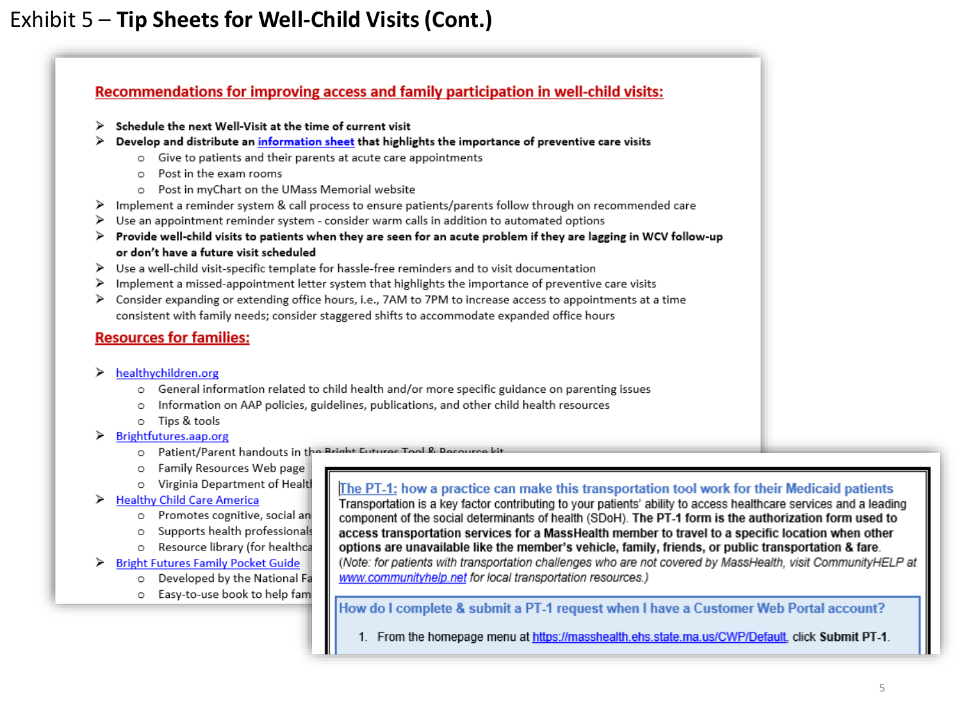# Exhibit 5 – **Tip Sheets for Well-Child Visits (Cont.)**

### Recommendations for improving access and family participation in well-child visits:

- Schedule the next Well-Visit at the time of current visit ≻
- $\triangleright$  Develop and distribute an information sheet that highlights the importance of preventive care visits
	- o Give to patients and their parents at acute care appointments
	- Post in the exam rooms  $\circ$
	- o Post in myChart on the UMass Memorial website
- > Implement a reminder system & call process to ensure patients/parents follow through on recommended care
- > Use an appointment reminder system consider warm calls in addition to automated options
- > Provide well-child visits to patients when they are seen for an acute problem if they are lagging in WCV follow-up or don't have a future visit scheduled
- > Use a well-child visit-specific template for hassle-free reminders and to visit documentation
- Implement a missed-appointment letter system that highlights the importance of preventive care visits ≻
- > Consider expanding or extending office hours, i.e., 7AM to 7PM to increase access to appointments at a time consistent with family needs; consider staggered shifts to accommodate expanded office hours

### **Resources for families:**

- healthychildren.org ➤
	- o General information related to child health and/or more specific guidance on parenting issues
	- Information on AAP policies, guidelines, publications, and other child health resources
	- o Tips & tools
- Brightfutures.aap.org ⋗
	- O Patient/Parent handouts in the Bright Futures Tool & Resour
	- Family Resources Web page O
	- o Virginia Department of Health

### **Healthy Child Care America** ⋗

- o Promotes cognitive, social an
- o Supports health professionals
- o Resource library (for healthca

### **Bright Futures Family Pocket Guide** ➤

- o Developed by the National Fa
- o Easy-to-use book to help fam

### The PT-1: how a practice can make this transportation tool work for their Medicaid patients

Transportation is a key factor contributing to your patients' ability to access healthcare services and a leading component of the social determinants of health (SDoH). The PT-1 form is the authorization form used to access transportation services for a MassHealth member to travel to a specific location when other options are unavailable like the member's vehicle, family, friends, or public transportation & fare. (Note: for patients with transportation challenges who are not covered by MassHealth, visit CommunityHELP at www.communityhelp.net for local transportation resources.)

### How do I complete & submit a PT-1 request when I have a Customer Web Portal account?

1. From the homepage menu at https://masshealth.ehs.state.ma.us/CWP/Default, click Submit PT-1.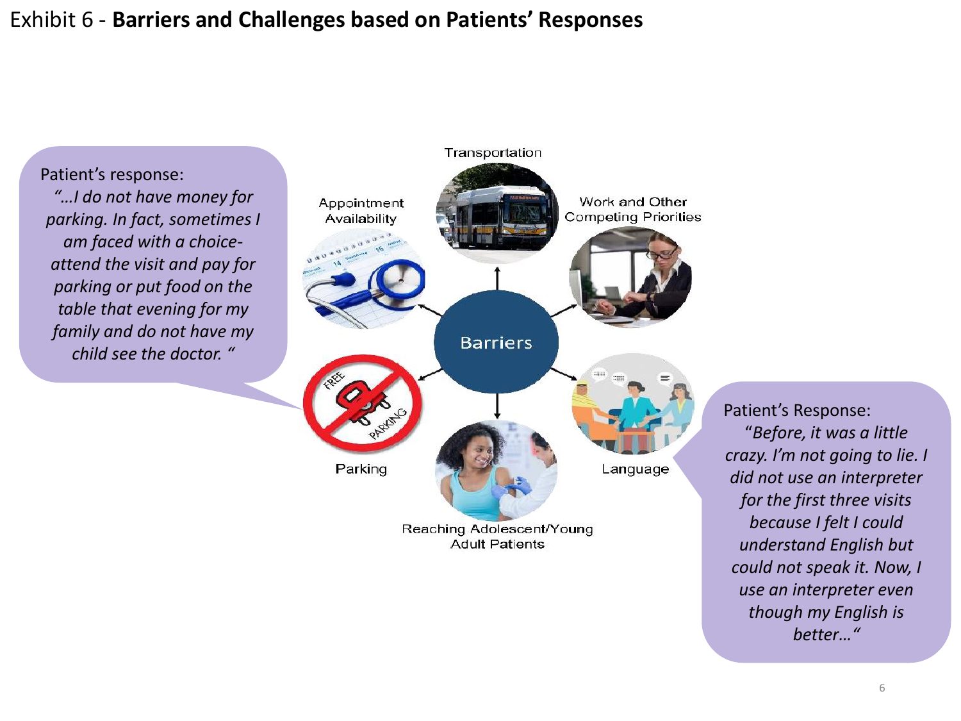# Exhibit 6 - **Barriers and Challenges based on Patients' Responses**

Patient's response: *"…I do not have money for parking. In fact, sometimes I am faced with a choiceattend the visit and pay for parking or put food on the table that evening for my family and do not have my child see the doctor. "*



Patient's Response: "*Before, it was a little crazy. I'm not going to lie. I did not use an interpreter for the first three visits because I felt I could understand English but could not speak it. Now, I use an interpreter even though my English is better…"*